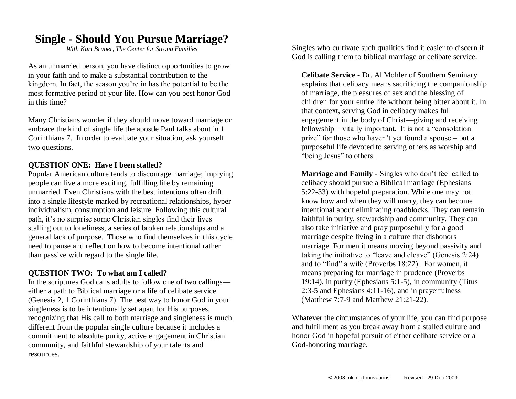## **Single - Should You Pursue Marriage?**

*With Kurt Bruner, The Center for Strong Families*

As an unmarried person, you have distinct opportunities to grow in your faith and to make a substantial contribution to the kingdom. In fact, the season you're in has the potential to be the most formative period of your life. How can you best honor God in this time?

Many Christians wonder if they should move toward marriage or embrace the kind of single life the apostle Paul talks about in 1 Corinthians 7. In order to evaluate your situation, ask yourself two questions.

## **QUESTION ONE: Have I been stalled?**

Popular American culture tends to discourage marriage; implying people can live a more exciting, fulfilling life by remaining unmarried. Even Christians with the best intentions often drift into a single lifestyle marked by recreational relationships, hyper individualism, consumption and leisure. Following this cultural path, it's no surprise some Christian singles find their lives stalling out to loneliness, a series of broken relationships and a general lack of purpose. Those who find themselves in this cycle need to pause and reflect on how to become intentional rather than passive with regard to the single life.

## **QUESTION TWO: To what am I called?**

In the scriptures God calls adults to follow one of two callings either a path to Biblical marriage or a life of celibate service (Genesis 2, 1 Corinthians 7). The best way to honor God in your singleness is to be intentionally set apart for His purposes, recognizing that His call to both marriage and singleness is much different from the popular single culture because it includes a commitment to absolute purity, active engagement in Christian community, and faithful stewardship of your talents and resources.

Singles who cultivate such qualities find it easier to discern if God is calling them to biblical marriage or celibate service.

**Celibate Service** - Dr. Al Mohler of Southern Seminary explains that celibacy means sacrificing the companionship of marriage, the pleasures of sex and the blessing of children for your entire life without being bitter about it. In that context, serving God in celibacy makes full engagement in the body of Christ—giving and receiving fellowship – vitally important. It is not a "consolation prize" for those who haven't yet found a spouse – but a purposeful life devoted to serving others as worship and "being Jesus" to others.

**Marriage and Family** - Singles who don't feel called to celibacy should pursue a Biblical marriage (Ephesians 5:22-33) with hopeful preparation. While one may not know how and when they will marry, they can become intentional about eliminating roadblocks. They can remain faithful in purity, stewardship and community. They can also take initiative and pray purposefully for a good marriage despite living in a culture that dishonors marriage. For men it means moving beyond passivity and taking the initiative to "leave and cleave" (Genesis 2:24) and to "find" a wife (Proverbs 18:22). For women, it means preparing for marriage in prudence (Proverbs 19:14), in purity (Ephesians 5:1-5), in community (Titus 2:3-5 and Ephesians 4:11-16), and in prayerfulness (Matthew 7:7-9 and Matthew 21:21-22).

Whatever the circumstances of your life, you can find purpose and fulfillment as you break away from a stalled culture and honor God in hopeful pursuit of either celibate service or a God-honoring marriage.